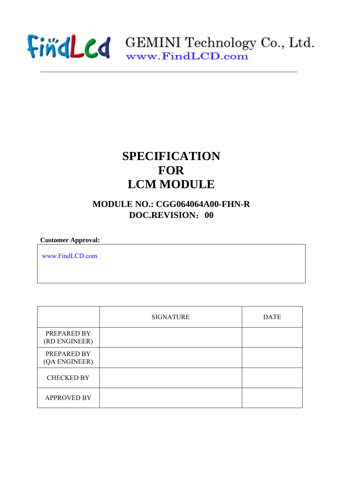

## **SPECIFICATION FOR LCM MODULE**

## **MODULE NO.: CGG064064A00-FHN-R DOC.REVISION**:**00**

**Customer Approval:** 

www.FindLCD.com

|                              | <b>SIGNATURE</b> | <b>DATE</b> |
|------------------------------|------------------|-------------|
| PREPARED BY<br>(RD ENGINEER) |                  |             |
| PREPARED BY<br>(QA ENGINEER) |                  |             |
| <b>CHECKED BY</b>            |                  |             |
| <b>APPROVED BY</b>           |                  |             |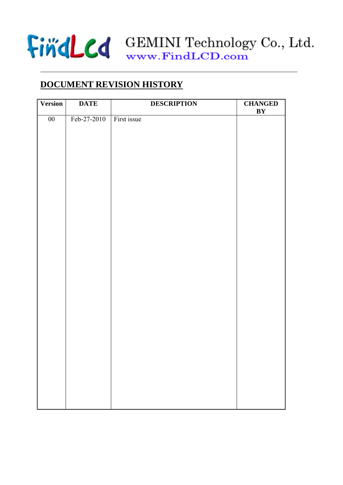

## **DOCUMENT REVISION HISTORY**

| <b>Version</b> | <b>DATE</b> | <b>DESCRIPTION</b> | <b>CHANGED</b><br>BY |
|----------------|-------------|--------------------|----------------------|
| $00\,$         | Feb-27-2010 | First issue        |                      |
|                |             |                    |                      |
|                |             |                    |                      |
|                |             |                    |                      |
|                |             |                    |                      |
|                |             |                    |                      |
|                |             |                    |                      |
|                |             |                    |                      |
|                |             |                    |                      |
|                |             |                    |                      |
|                |             |                    |                      |
|                |             |                    |                      |
|                |             |                    |                      |
|                |             |                    |                      |
|                |             |                    |                      |
|                |             |                    |                      |
|                |             |                    |                      |
|                |             |                    |                      |
|                |             |                    |                      |
|                |             |                    |                      |
|                |             |                    |                      |
|                |             |                    |                      |
|                |             |                    |                      |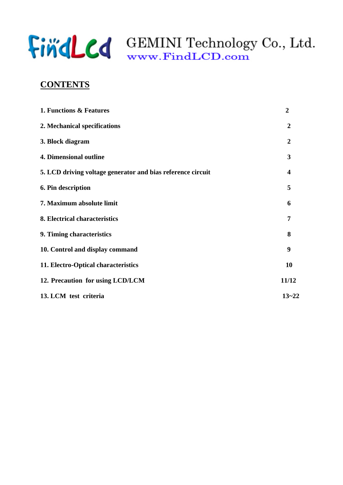

## **CONTENTS**

| 1. Functions & Features                                     | $\boldsymbol{2}$ |
|-------------------------------------------------------------|------------------|
| 2. Mechanical specifications                                | $\overline{2}$   |
| 3. Block diagram                                            | $\boldsymbol{2}$ |
| <b>4. Dimensional outline</b>                               | 3                |
| 5. LCD driving voltage generator and bias reference circuit | 4                |
| 6. Pin description                                          | 5                |
| 7. Maximum absolute limit                                   | 6                |
| 8. Electrical characteristics                               | 7                |
| 9. Timing characteristics                                   | 8                |
| 10. Control and display command                             | 9                |
| 11. Electro-Optical characteristics                         | <b>10</b>        |
| 12. Precaution for using LCD/LCM                            | 11/12            |
| 13. LCM test criteria                                       | $13 - 22$        |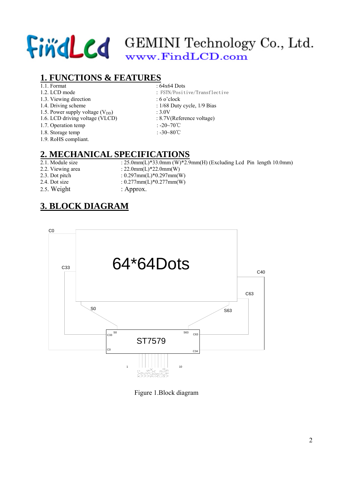## **1. FUNCTIONS & FEATURES**

- 
- 
- 1.3. Viewing direction : 6 o'clock
- 
- 1.5. Power supply voltage  $(V_{DD})$  : 3.0V<br>1.6. LCD driving voltage (VLCD) : 8.7V(Reference voltage)
- 1.6. LCD driving voltage (VLCD)
- 1.7. Operation temp : -20∼70℃
- 1.8. Storage temp : -30~80℃
- 1.9. RoHS compliant.

## **2. MECHANICAL SPECIFICATIONS**

- 
- 
- 
- -
- 1.1. Format : 64x64 Dots<br>1.2. LCD mode : FSTN/Posit : FSTN/Positive/Transflective
	-
- 1.4. Driving scheme : 1/68 Duty cycle, 1/9 Bias
	-
	-
	-
	-

2.1. Module size :  $25.0$ mm(L)\*33.0mm (W)\*2.9mm(H) (Excluding Lcd Pin length 10.0mm)

- 2.2. Viewing area : 22.0mm(L)\*22.0mm(W)
- 2.3. Dot pitch : 0.297mm(L)\*0.297mm(W)<br>2.4. Dot size : 0.277mm(L)\*0.277mm(W)
	- $: 0.277$ mm $(L)*0.277$ mm $(W)$
- 2.5. Weight : Approx.

## **3. BLOCK DIAGRAM**



Figure 1.Block diagram

2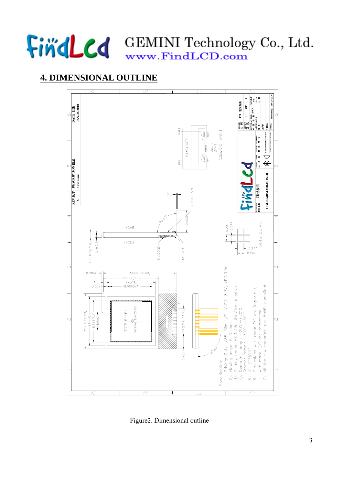

## **4. DIMENSIONAL OUTLINE**



Figure2. Dimensional outline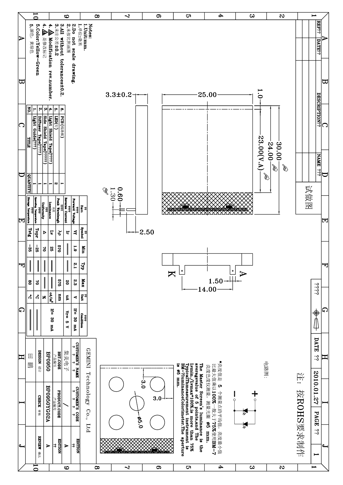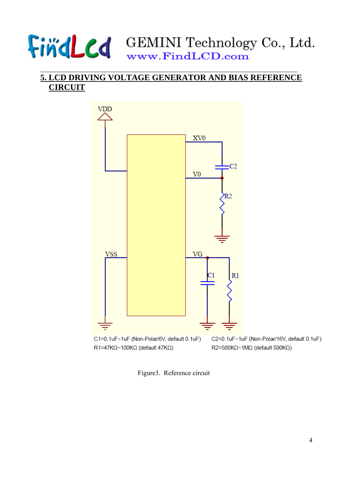## **5. LCD DRIVING VOLTAGE GENERATOR AND BIAS REFERENCE CIRCUIT**



Figure3. Reference circuit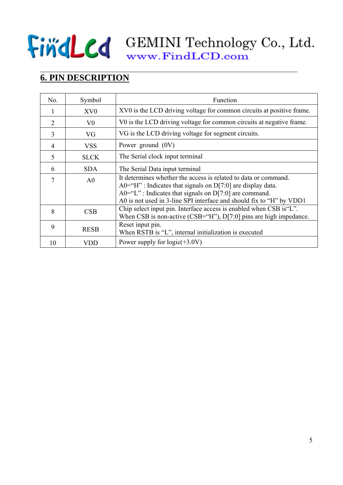## **6. PIN DESCRIPTION**

| No.            | Symbol          | Function                                                                                                                                                                                                                                                                |
|----------------|-----------------|-------------------------------------------------------------------------------------------------------------------------------------------------------------------------------------------------------------------------------------------------------------------------|
| 1              | XV <sub>0</sub> | XV0 is the LCD driving voltage for common circuits at positive frame.                                                                                                                                                                                                   |
| $\overline{2}$ | V <sub>0</sub>  | V0 is the LCD driving voltage for common circuits at negative frame.                                                                                                                                                                                                    |
| 3              | VG              | VG is the LCD driving voltage for segment circuits.                                                                                                                                                                                                                     |
| $\overline{4}$ | <b>VSS</b>      | Power ground $(0V)$                                                                                                                                                                                                                                                     |
| 5              | <b>SLCK</b>     | The Serial clock input terminal                                                                                                                                                                                                                                         |
| 6              | <b>SDA</b>      | The Serial Data input terminal                                                                                                                                                                                                                                          |
| 7              | A <sub>0</sub>  | It determines whether the access is related to data or command.<br>$A0=$ "H" : Indicates that signals on D[7:0] are display data.<br>$A0 = "L"$ : Indicates that signals on D[7:0] are command.<br>A0 is not used in 3-line SPI interface and should fix to "H" by VDD1 |
| 8              | CSB             | Chip select input pin. Interface access is enabled when CSB is "L".<br>When CSB is non-active (CSB="H"), $D[7:0]$ pins are high impedance.                                                                                                                              |
| 9              | <b>RESB</b>     | Reset input pin.<br>When RSTB is "L", internal initialization is executed                                                                                                                                                                                               |
| 10             | VDD             | Power supply for $logic(+3.0V)$                                                                                                                                                                                                                                         |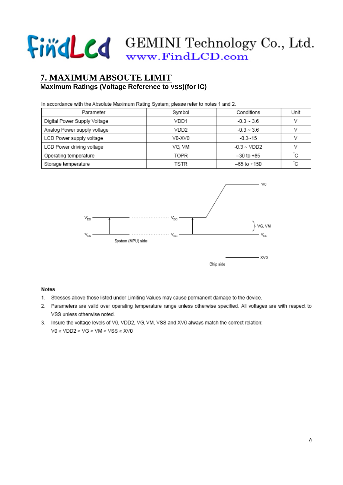## **7. MAXIMUM ABSOUTE LIMIT Maximum Ratings (Voltage Reference to VSS)(for IC)**

In accordance with the Absolute Maximum Rating System; please refer to notes 1 and 2.

| Parameter                    | Symbol | Conditions              | Unit |
|------------------------------|--------|-------------------------|------|
| Digital Power Supply Voltage | VDD1   | $-0.3 \sim 3.6$         |      |
| Analog Power supply voltage  | VDD2   | $-0.3 \sim 3.6$         |      |
| LCD Power supply voltage     | V0-XV0 | $-0.3 - 15$             |      |
| LCD Power driving voltage    | VG. VM | $-0.3 \sim \text{VDD2}$ |      |
| Operating temperature        | TOPR   | $-30$ to $+85$          |      |
| Storage temperature          | TSTR   | -65 to +150             |      |



### **Notes**

- 1. Stresses above those listed under Limiting Values may cause permanent damage to the device.
- 2. Parameters are valid over operating temperature range unless otherwise specified. All voltages are with respect to VSS unless otherwise noted.
- 3. Insure the voltage levels of V0, VDD2, VG, VM, VSS and XV0 always match the correct relation:  $VO \ge VDD2 > VG > VM > VSS \ge XVO$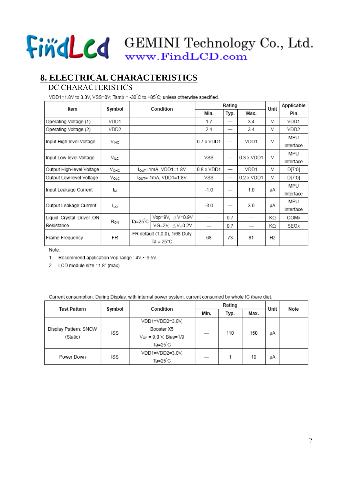## **8. ELECTRICAL CHARACTERISTICS**

### DC CHARACTERISTICS

VDD1=1.8V to 3.3V, VSS=0V; Tamb = -30 C to +85 C; unless otherwise specified.

| Item                      | Symbol           |         | Rating<br>Unit<br>Condition       |                   |      |                   |    | Applicable |
|---------------------------|------------------|---------|-----------------------------------|-------------------|------|-------------------|----|------------|
|                           |                  |         |                                   | Min.              | Typ. | Max.              |    | Pin        |
| Operating Voltage (1)     | VDD1             |         |                                   | 1.7               |      | 3.4               | V  | VDD1       |
| Operating Voltage (2)     | VDD2             |         |                                   | 2.4               |      | 3.4               | V  | VDD2       |
| Input High-level Voltage  | V <sub>IHC</sub> |         |                                   | $0.7 \times VDD1$ |      | VDD1              | v  | MPU        |
|                           |                  |         |                                   |                   |      |                   |    | Interface  |
| Input Low-level Voltage   | ViLc             |         |                                   | vss               |      | $0.3 \times VDD1$ | V  | MPU        |
|                           |                  |         |                                   |                   |      |                   |    | Interface  |
| Output High-level Voltage | $V_{OHC}$        |         | $I_{\text{OUT}}$ =1mA, VDD1=1.8V  | $0.8 \times VDD1$ |      | VDD1              | v  | D[7:0]     |
| Output Low-level Voltage  | Volc             |         | $I_{\text{OUT}}$ =-1mA, VDD1=1.8V | VSS               |      | $0.2 \times VDD1$ | V  | D[7:0]     |
| Input Leakage Current     |                  |         |                                   | $-1.0$            |      | 1.0               |    | MPU        |
|                           | Iц               |         |                                   |                   |      |                   | μA | Interface  |
| Output Leakage Current    | Iιo              |         |                                   | $-3.0$            |      | 3.0               | μA | MPU        |
|                           |                  |         |                                   |                   |      |                   |    | Interface  |
| Liquid Crystal Driver ON  | Ron              | Ta=25 C | Vop=9V. $\triangle$ V=0.9V        |                   | 0.7  |                   | ΚΩ | COMX       |
| Resistance                |                  |         | VG=2V, ∆V=0.2V                    |                   | 0.7  |                   | ΚΩ | SEGx       |
| Frame Frequency           | FR               |         | FR default (1,0,0), 1/68 Duty     |                   | 73   | 81                |    |            |
|                           |                  |         | Ta = 25°C                         | 68                |      |                   | Hz |            |

Note:

1. Recommend application Vop range : 4V ~ 9.5V.

2. LCD module size : 1.8" (max).

Current consumption: During Display, with internal power system, current consumed by whole IC (bare die).

| <b>Test Pattern</b>   | Symbol<br>Condition |                            |      | Rating | Unit | Note |  |
|-----------------------|---------------------|----------------------------|------|--------|------|------|--|
|                       |                     |                            | Min. | Typ.   |      |      |  |
|                       |                     | VDD1=VDD2=3.0V.            |      |        |      |      |  |
| Display Pattern: SNOW | ISS                 | Booster X5                 |      | 110    | 150  | μA   |  |
| (Static)              |                     | $V_{OP}$ = 9.0 V, Bias=1/9 |      |        |      |      |  |
|                       |                     | $Ta = 25^{\circ}C$         |      |        |      |      |  |
|                       |                     | VDD1=VDD2=3.0V.            |      |        | 10   |      |  |
| Power Down            | ISS                 | $Ta = 25^{\circ}C$         |      |        |      | μA   |  |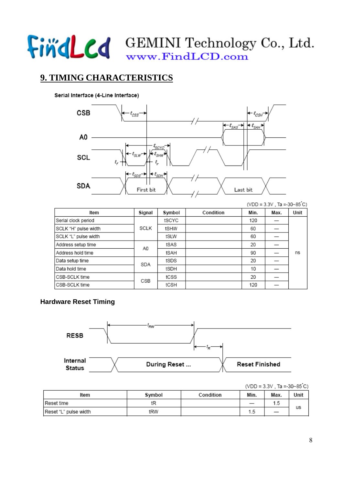## **9. TIMING CHARACTERISTICS**

### Serial Interface (4-Line Interface)



|  | (VDD = $3.3V$ , Ta = $-30$ ~ $85^{\circ}$ C) |  |
|--|----------------------------------------------|--|
|  |                                              |  |
|  |                                              |  |
|  |                                              |  |

| ltem                 | Signal | Symbol | Condition | Min. | Max. | Unit |
|----------------------|--------|--------|-----------|------|------|------|
| Serial clock period  |        | tSCYC  |           | 120  |      |      |
| SCLK "H" pulse width | SCLK   | tSHW   |           | 60   |      |      |
| SCLK "L" pulse width |        | tSLW   |           | 60   |      |      |
| Address setup time   | A0     | tSAS   |           | 20   |      |      |
| Address hold time    |        | tSAH   |           | 90   |      | ns   |
| Data setup time      | SDA    | tSDS   |           | 20   |      |      |
| Data hold time       |        | tSDH   |           | 10   |      |      |
| CSB-SCLK time        | CSB    | tCSS   |           | 20   |      |      |
| CSB-SCLK time        |        | tCSH   |           | 120  |      |      |

## **Hardware Reset Timing**



|  | $(VDD = 3.3V$ , Ta =-30~85°C) |  |
|--|-------------------------------|--|
|  |                               |  |
|  |                               |  |

| Item                  | Symbol | Condition | Min.      | Max. | Unit |
|-----------------------|--------|-----------|-----------|------|------|
| Reset time            | tR     |           |           | 1.5  |      |
| Reset "L" pulse width | tRW    |           | 1<br>כ. ו |      | us   |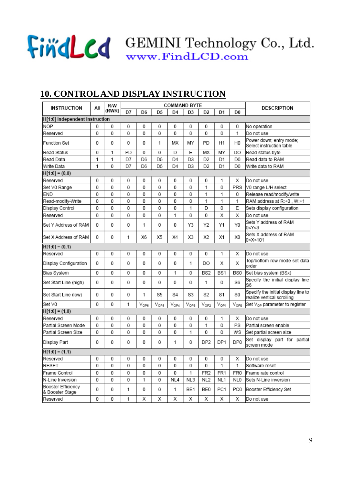## **10. CONTROL AND DISPLAY INSTRUCTION**

| <b>INSTRUCTION</b>                    | <b>COMMAND BYTE</b><br>R/W<br>A <sub>0</sub> |       |    |                  |                    | DESCRIPTION    |                |                 |                 |                 |                                                                   |
|---------------------------------------|----------------------------------------------|-------|----|------------------|--------------------|----------------|----------------|-----------------|-----------------|-----------------|-------------------------------------------------------------------|
|                                       |                                              | (RWR) | D7 | D <sub>6</sub>   | D <sub>5</sub>     | D <sub>4</sub> | D3             | D2              | D <sub>1</sub>  | D <sub>0</sub>  |                                                                   |
| H[1:0] Independent Instruction        |                                              |       |    |                  |                    |                |                |                 |                 |                 |                                                                   |
| <b>NOP</b>                            | 0                                            | 0     | 0  | 0                | 0                  | 0              | 0              | 0               | 0               | 0               | No operation                                                      |
| Reserved                              | 0                                            | 0     | 0  | 0                | 0                  | 0              | 0              | 0               | 0               | 1               | Do not use                                                        |
| Function Set                          | 0                                            | 0     | 0  | 0                | 1                  | МX             | MY             | PD              | Η1              | H <sub>0</sub>  | Power down; entry mode;<br>Select instruction table               |
| Read Status                           | 0                                            | 1     | PD | 0                | 0                  | D              | E              | МX              | MY              | DO              | Read status byte                                                  |
| Read Data                             | 1                                            | 1     | D7 | D <sub>6</sub>   | D <sub>5</sub>     | D <sub>4</sub> | D <sub>3</sub> | D <sub>2</sub>  | D1              | D <sub>0</sub>  | Read data to RAM                                                  |
| Write Data                            | 1                                            | 0     | D7 | D6               | D5                 | D <sub>4</sub> | D3             | D <sub>2</sub>  | D1              | D <sub>0</sub>  | Write data to RAM                                                 |
| $H[1:0] = (0,0)$                      |                                              |       |    |                  |                    |                |                |                 |                 |                 |                                                                   |
| Reserved                              | 0                                            | 0     | 0  | 0                | 0                  | 0              | 0              | 0               | 1               | х               | Do not use                                                        |
| Set V0 Range                          | 0                                            | 0     | 0  | 0                | 0                  | 0              | 0              | 1               | 0               | PRS             | V0 range L/H select                                               |
| END                                   | 0                                            | 0     | 0  | 0                | 0                  | 0              | 0              | 1               | 1               | 0               | Release read/modify/write                                         |
| Read-modify-Write                     | 0                                            | 0     | 0  | 0                | 0                  | 0              | 0              | 1               | 1               | 1               | RAM address at R:+0, W:+1                                         |
| Display Control                       | 0                                            | 0     | 0  | 0                | 0                  | 0              | 1              | D               | 0               | E               | Sets display configuration                                        |
| Reserved                              | 0                                            | 0     | 0  | 0                | 0                  | 1              | 0              | 0               | Х               | Х               | Do not use                                                        |
| Set Y Address of RAM                  | 0                                            | 0     | 0  | 1                | 0                  | 0              | Y3             | Y2              | Υ1              | Y0              | Sets Y address of RAM<br>0≤Y≤9                                    |
| Set X Address of RAM                  | 0                                            | 0     | 1  | X6               | Х5                 | X4             | X3             | X <sub>2</sub>  | X1              | X0              | Sets X address of RAM<br>0≤X≤101                                  |
| $H[1:0] = (0,1)$                      |                                              |       |    |                  |                    |                |                |                 |                 |                 |                                                                   |
| Reserved                              | 0                                            | 0     | 0  | 0                | 0                  | 0              | 0              | 0               | 1               | Х               | Do not use                                                        |
| Display Configuration                 | 0                                            | 0     | 0  | 0                | 0                  | 0              | 1              | DO              | Χ               | X               | Top/bottom row mode set data<br>order                             |
| Bias System                           | 0                                            | 0     | 0  | 0                | 0                  | 1              | 0              | BS2             | BS1             | BS0             | Set bias system (BSx)                                             |
| Set Start Line (high)                 | 0                                            | 0     | 0  | 0                | 0                  | 0              | 0              | 1               | 0               | S <sub>6</sub>  | Specify the initial display line<br>S6                            |
| Set Start Line (low)                  | 0                                            | 0     | 0  | 1                | S5                 | S4             | S3             | S2              | S1              | S0              | Specify the initial display line to<br>realize vertical scrolling |
| Set V0                                | 0                                            | 0     | 1  | $V_{\text{OP6}}$ | $V_{\mathsf{OP5}}$ | $V_{OP4}$      | $V_{OP3}$      | $\rm V_{OP2}$   | $\rm V_{OP1}$   | Vopo            | Set $V_{OP}$ parameter to register                                |
| $H[1:0] = (1,0)$                      |                                              |       |    |                  |                    |                |                |                 |                 |                 |                                                                   |
| Reserved                              | 0                                            | 0     | 0  | 0                | 0                  | 0              | 0              | 0               | 1               | х               | Do not use                                                        |
| Partial Screen Mode                   | 0                                            | 0     | 0  | 0                | 0                  | 0              | 0              | 1               | 0               | PS              | Partial screen enable                                             |
| Partial Screen Size                   | 0                                            | 0     | 0  | 0                | 0                  | 0              | 1              | 0               | 0               | WS              | Set partial screen size                                           |
| Display Part                          | 0                                            | 0     | 0  | 0                | 0                  | 1              | 0              | DP <sub>2</sub> | DP1             | DP <sub>0</sub> | Set display part for partial<br>screen mode                       |
| $H[1:0] = (1,1)$                      |                                              |       |    |                  |                    |                |                |                 |                 |                 |                                                                   |
| Reserved                              | 0                                            | 0     | 0  | 0                | 0                  | 0              | 0              | 0               | 0               | X               | Do not use                                                        |
| RESET                                 | 0                                            | 0     | 0  | 0                | 0                  | 0              | 0              | 0               | 1               | 1               | Software reset                                                    |
| Frame Control                         | 0                                            | 0     | 0  | 0                | 0                  | 0              | 1              | FR <sub>2</sub> | FR <sub>1</sub> | FR <sub>0</sub> | Frame rate control                                                |
| N-Line Inversion                      | 0                                            | 0     | 0  | 1                | 0                  | NL4            | NL3            | NL <sub>2</sub> | NL <sub>1</sub> | NL0             | Sets N-Line inversion                                             |
| Booster Efficiency<br>& Booster Stage | 0                                            | 0     | 1  | 0                | 0                  | 1              | BE1            | BE0             | PC1             | PC <sub>0</sub> | Booster Efficiency Set                                            |
| Reserved                              | 0                                            | 0     | 1  | Х                | х                  | Χ              | Х              | Χ               | х               | Χ               | Do not use                                                        |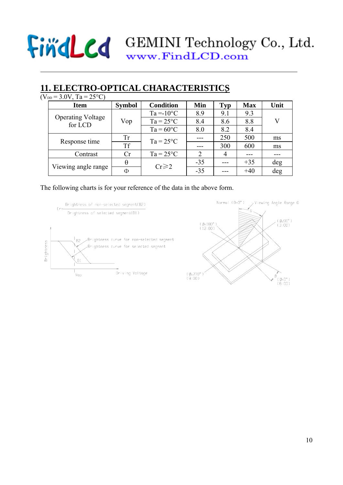## **11. ELECTRO-OPTICAL CHARACTERISTICS**

|  | $(V_{DD} = 3.0V, Ta = 25°C)$        |               |                    |                             |                |            |      |
|--|-------------------------------------|---------------|--------------------|-----------------------------|----------------|------------|------|
|  | <b>Item</b>                         | <b>Symbol</b> | <b>Condition</b>   | Min                         | <b>Typ</b>     | <b>Max</b> | Unit |
|  |                                     |               | $Ta = 10^{\circ}C$ | 8.9                         | 9.1            | 9.3        |      |
|  | <b>Operating Voltage</b><br>for LCD | Vop           | $Ta = 25^{\circ}C$ | 8.4                         | 8.6            | 8.8        | V    |
|  |                                     |               | $Ta = 60^{\circ}C$ | 8.0                         | 8.2            | 8.4        |      |
|  |                                     | Tr            | $Ta = 25^{\circ}C$ |                             | 250            | 500        | ms   |
|  | Response time                       | <b>Tf</b>     |                    |                             | 300            | 600        | ms   |
|  | Contrast                            | Cr            | $Ta = 25^{\circ}C$ | $\mathcal{D}_{\mathcal{L}}$ | $\overline{4}$ |            |      |
|  |                                     | θ             | $Cr \ge 2$<br>Φ    | $-35$                       |                | $+35$      | deg  |
|  | Viewing angle range                 |               |                    | $-35$                       |                | $+40$      | deg  |
|  |                                     |               |                    |                             |                |            |      |

The following charts is for your reference of the data in the above form.

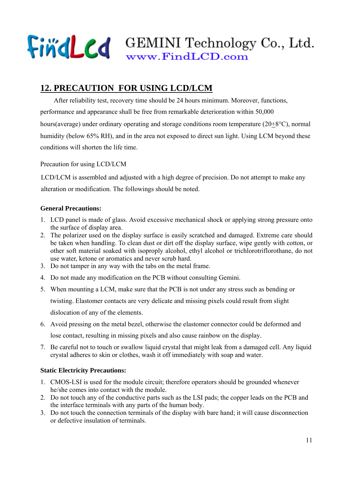## Find Cd GEMINI Technology Co., Ltd. www.FindLCD.com

## **12. PRECAUTION FOR USING LCD/LCM**

After reliability test, recovery time should be 24 hours minimum. Moreover, functions, performance and appearance shall be free from remarkable deterioration within 50,000 hours(average) under ordinary operating and storage conditions room temperature (20+8°C), normal humidity (below 65% RH), and in the area not exposed to direct sun light. Using LCM beyond these conditions will shorten the life time.

Precaution for using LCD/LCM

 LCD/LCM is assembled and adjusted with a high degree of precision. Do not attempt to make any alteration or modification. The followings should be noted.

### **General Precautions:**

- 1. LCD panel is made of glass. Avoid excessive mechanical shock or applying strong pressure onto the surface of display area.
- 2. The polarizer used on the display surface is easily scratched and damaged. Extreme care should be taken when handling. To clean dust or dirt off the display surface, wipe gently with cotton, or other soft material soaked with isoproply alcohol, ethyl alcohol or trichlorotriflorothane, do not use water, ketone or aromatics and never scrub hard.
- 3. Do not tamper in any way with the tabs on the metal frame.
- 4. Do not made any modification on the PCB without consulting Gemini.
- 5. When mounting a LCM, make sure that the PCB is not under any stress such as bending or twisting. Elastomer contacts are very delicate and missing pixels could result from slight dislocation of any of the elements.
- 6. Avoid pressing on the metal bezel, otherwise the elastomer connector could be deformed and lose contact, resulting in missing pixels and also cause rainbow on the display.
- 7. Be careful not to touch or swallow liquid crystal that might leak from a damaged cell. Any liquid crystal adheres to skin or clothes, wash it off immediately with soap and water.

### **Static Electricity Precautions:**

- 1. CMOS-LSI is used for the module circuit; therefore operators should be grounded whenever he/she comes into contact with the module.
- 2. Do not touch any of the conductive parts such as the LSI pads; the copper leads on the PCB and the interface terminals with any parts of the human body.
- 3. Do not touch the connection terminals of the display with bare hand; it will cause disconnection or defective insulation of terminals.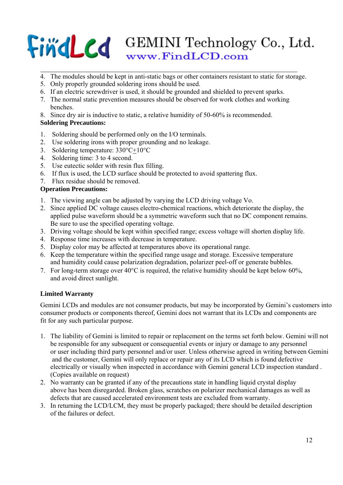## Find Cd GEMINI Technology Co., Ltd. www.FindLCD.com

- 4. The modules should be kept in anti-static bags or other containers resistant to static for storage.
- 5. Only properly grounded soldering irons should be used.
- 6. If an electric screwdriver is used, it should be grounded and shielded to prevent sparks.
- 7. The normal static prevention measures should be observed for work clothes and working benches.
- 8. Since dry air is inductive to static, a relative humidity of 50-60% is recommended.

### **Soldering Precautions:**

- 1. Soldering should be performed only on the I/O terminals.
- 2. Use soldering irons with proper grounding and no leakage.
- 3. Soldering temperature: 330°C+10°C
- 4. Soldering time: 3 to 4 second.
- 5. Use eutectic solder with resin flux filling.
- 6. If flux is used, the LCD surface should be protected to avoid spattering flux.
- 7. Flux residue should be removed.

### **Operation Precautions:**

- 1. The viewing angle can be adjusted by varying the LCD driving voltage Vo.
- 2. Since applied DC voltage causes electro-chemical reactions, which deteriorate the display, the applied pulse waveform should be a symmetric waveform such that no DC component remains. Be sure to use the specified operating voltage.
- 3. Driving voltage should be kept within specified range; excess voltage will shorten display life.
- 4. Response time increases with decrease in temperature.
- 5. Display color may be affected at temperatures above its operational range.
- 6. Keep the temperature within the specified range usage and storage. Excessive temperature and humidity could cause polarization degradation, polarizer peel-off or generate bubbles.
- 7. For long-term storage over  $40^{\circ}$ C is required, the relative humidity should be kept below 60%. and avoid direct sunlight.

### **Limited Warranty**

Gemini LCDs and modules are not consumer products, but may be incorporated by Gemini's customers into consumer products or components thereof, Gemini does not warrant that its LCDs and components are fit for any such particular purpose.

- 1. The liability of Gemini is limited to repair or replacement on the terms set forth below. Gemini will not be responsible for any subsequent or consequential events or injury or damage to any personnel or user including third party personnel and/or user. Unless otherwise agreed in writing between Gemini and the customer, Gemini will only replace or repair any of its LCD which is found defective electrically or visually when inspected in accordance with Gemini general LCD inspection standard . (Copies available on request)
- 2. No warranty can be granted if any of the precautions state in handling liquid crystal display above has been disregarded. Broken glass, scratches on polarizer mechanical damages as well as defects that are caused accelerated environment tests are excluded from warranty.
- 3. In returning the LCD/LCM, they must be properly packaged; there should be detailed description of the failures or defect.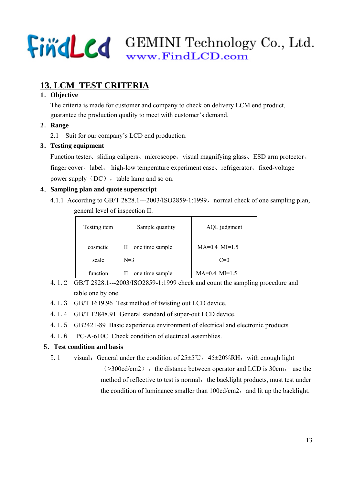## **13. LCM TEST CRITERIA**

### **1**.**Objective**

The criteria is made for customer and company to check on delivery LCM end product, guarantee the production quality to meet with customer's demand.

- **2**.**Range**
	- 2.1 Suit for our company's LCD end production.

## **3**.**Testing equipment**

Function tester、sliding calipers、microscope、visual magnifying glass、ESD arm protector、 finger cover、label、 high-low temperature experiment case、refrigerator、fixed-voltage power supply  $(DC)$ , table lamp and so on.

## **4**.**Sampling plan and quote superscript**

4.1.1 According to GB/T 2828.1---2003/ISO2859-1:1999, normal check of one sampling plan, general level of inspection II.

| Testing item | Sample quantity      | AQL judgment      |
|--------------|----------------------|-------------------|
| cosmetic     | one time sample<br>П | $MA=0.4$ $MI=1.5$ |
| scale        | $N=3$                | $C=0$             |
| function     | one time sample<br>П | $MA=0.4$ $MI=1.5$ |

- 4.1.2 GB/T 2828.1---2003/ISO2859-1:1999 check and count the sampling procedure and table one by one.
- 4.1.3 GB/T 1619.96 Test method of twisting out LCD device.
- 4.1.4 GB/T 12848.91 General standard of super-out LCD device.
- 4.1.5 GB2421-89 Basic experience environment of electrical and electronic products
- 4.1.6 IPC-A-610C Check condition of electrical assemblies.

### 5.**Test condition and basis**

5.1 visual: General under the condition of  $25±5^{\circ}\text{C}$ ,  $45±20\%RH$ , with enough light  $(>300cd/cm2)$ , the distance between operator and LCD is 30cm, use the method of reflective to test is normal, the backlight products, must test under the condition of luminance smaller than  $100 \text{cd/cm}$ ?, and lit up the backlight.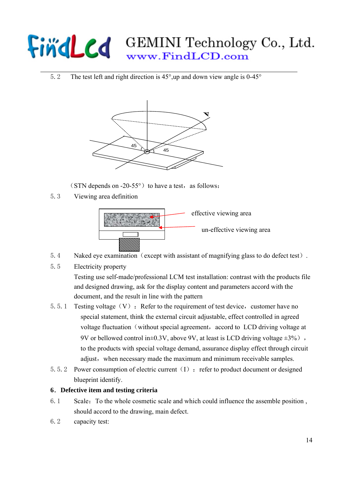5.2 The test left and right direction is 45°,up and down view angle is 0-45°



(STN depends on -20-55 $\degree$ ) to have a test, as follows:

5.3 Viewing area definition



- 5.4 Naked eye examination (except with assistant of magnifying glass to do defect test).
- 5.5 Electricity property

Testing use self-made/professional LCM test installation: contrast with the products file and designed drawing, ask for the display content and parameters accord with the document, and the result in line with the pattern

- 5.5.1 Testing voltage  $(V)$ : Refer to the requirement of test device, customer have no special statement, think the external circuit adjustable, effect controlled in agreed voltage fluctuation (without special agreement, accord to LCD driving voltage at 9V or bellowed control in $\pm 0.3V$ , above 9V, at least is LCD driving voltage  $\pm 3\%$ ), to the products with special voltage demand, assurance display effect through circuit adjust, when necessary made the maximum and minimum receivable samples.
- 5.5.2 Power consumption of electric current  $(I)$ : refer to product document or designed blueprint identify.

### **6**.**Defective item and testing criteria**

- 6.1 Scale:To the whole cosmetic scale and which could influence the assemble position , should accord to the drawing, main defect.
- 6.2 capacity test: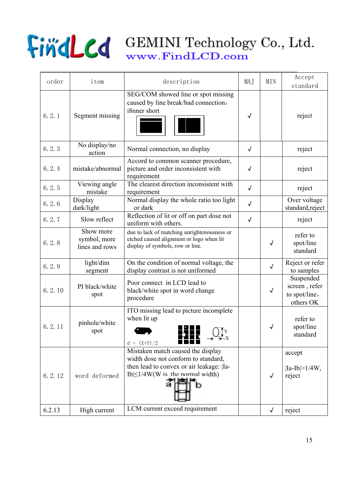

| order   | item                                        | description                                                                                                                                                         | MAJ        | <b>MIN</b> | Accept<br>standard                                       |
|---------|---------------------------------------------|---------------------------------------------------------------------------------------------------------------------------------------------------------------------|------------|------------|----------------------------------------------------------|
| 6, 2, 1 | Segment missing                             | SEG/COM showed line or spot missing<br>caused by line break/bad connection,<br>i8nner short                                                                         | $\sqrt{ }$ |            | reject                                                   |
| 6.2.3   | No display/no<br>action                     | Normal connection, no display                                                                                                                                       | $\sqrt{ }$ |            | reject                                                   |
| 6.2.4   | mistake/abnormal                            | Accord to common scanner procedure,<br>picture and order inconsistent with<br>requirement                                                                           | $\sqrt{ }$ |            | reject                                                   |
| 6.2.5   | Viewing angle<br>mistake                    | The clearest direction inconsistent with<br>requirement                                                                                                             | $\sqrt{ }$ |            | reject                                                   |
| 6.2.6   | Display<br>dark/light                       | Normal display the whole ratio too light<br>or dark                                                                                                                 | $\sqrt{ }$ |            | Over voltage<br>standard, reject                         |
| 6.2.7   | Slow reflect                                | Reflection of lit or off on part dose not<br>uniform with others.                                                                                                   | $\sqrt{ }$ |            | reject                                                   |
| 6.2.8   | Show more<br>symbol, more<br>lines and rows | due to lack of matching unrightenousness or<br>etched caused alignment or logo when lit<br>display of symbols, row or line.                                         |            | √          | refer to<br>spot/line<br>standard                        |
| 6.2.9   | light/dim<br>segment                        | On the condition of normal voltage, the<br>display contrast is not uniformed                                                                                        |            | $\sqrt{2}$ | Reject or refer<br>to samples                            |
| 6.2.10  | PI black/white<br>spot                      | Poor connect in LCD lead to<br>black/white spot in word change<br>procedure                                                                                         |            | $\sqrt{ }$ | Suspended<br>screen, refer<br>to spot/line,<br>others OK |
| 6.2.11  | pinhole/white<br>spot                       | ITO missing lead to picture incomplete<br>when lit up<br>$\bigcup_{\mathbf{Y}} \mathbf{Y}_{\mathbf{X}}$<br>$d = (X+Y)/2$                                            |            | √          | refer to<br>spot/line<br>standard                        |
| 6.2.12  | word deformed                               | Mistaken match caused the display<br>width dose not conform to standard,<br>then lead to convex or air leakage:  Ia-<br>$Ib \leq 1/4W(W)$ is the normal width)<br>n |            | $\sqrt{ }$ | accept<br>$ Ia-Ib >1/4W$ ,<br>reject                     |
| 6.2.13  | High current                                | LCM current exceed requirement                                                                                                                                      |            | $\sqrt{ }$ | reject                                                   |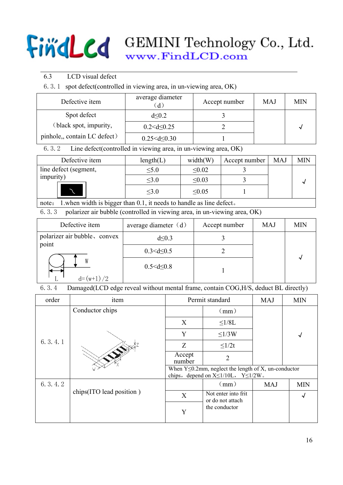- 6.3 LCD visual defect
- 6.3.1 spot defect(controlled in viewing area, in un-viewing area, OK)

| Defective item               | average diameter     | Accept number | MAJ | MIN |
|------------------------------|----------------------|---------------|-----|-----|
| Spot defect                  | d<0.2                |               |     |     |
| (black spot, impurity,       | $0.2 < d \leq 0.25$  |               |     |     |
| pinhole,, contain LC defect) | $0.25 < d \leq 0.30$ |               |     |     |

6.3.2 Line defect(controlled in viewing area, in un-viewing area, OK)

| Defective item        | length(L)  | width(W)    | Accept number | <b>MAJ</b> | <b>MIN</b> |
|-----------------------|------------|-------------|---------------|------------|------------|
| line defect (segment, | $\leq 5.0$ | $\leq 0.02$ |               |            |            |
| impurity)             | $\leq 3.0$ | < 0.03      |               |            |            |
|                       | $\leq 3.0$ | $\leq 0.05$ |               |            |            |

note: 1.when width is bigger than 0.1, it needs to handle as line defect。

6.3.3 polarizer air bubble (controlled in viewing area, in un-viewing area, OK)

| Defective item                        | average diameter $(d)$ | Accept number | <b>MAJ</b> | <b>MIN</b> |
|---------------------------------------|------------------------|---------------|------------|------------|
| polarizer air bubble, convex<br>point | $d \leq 0.3$           |               |            |            |
|                                       | $0.3 < d \leq 0.5$     |               |            |            |
| $d=(w+1)/2$                           | $0.5 < d \leq 0.8$     |               |            | ∼          |

6.3.4 Damaged(LCD edge reveal without mental frame, contain COG,H/S, deduct BL directly)

| order   | item                     | Permit standard                                                                                                 |                                         | <b>MAJ</b> | <b>MIN</b> |  |
|---------|--------------------------|-----------------------------------------------------------------------------------------------------------------|-----------------------------------------|------------|------------|--|
|         | Conductor chips          |                                                                                                                 | (mm)                                    |            |            |  |
|         |                          | X                                                                                                               | $\leq$ 1/8L                             |            |            |  |
|         |                          | Y                                                                                                               | $\leq1/3W$                              |            | √          |  |
| 6.3.4.1 |                          | Z                                                                                                               | $\leq 1/2t$                             |            |            |  |
|         |                          | Accept<br>number                                                                                                | $\overline{2}$                          |            |            |  |
|         |                          | When $Y \le 0.2$ mm, neglect the length of X, un-conductor<br>chips, depend on $X \leq 1/10L$ , $Y \leq 1/2W$ . |                                         |            |            |  |
| 6.3.4.2 |                          |                                                                                                                 | (mm)                                    | <b>MAJ</b> | <b>MIN</b> |  |
|         | chips(ITO lead position) | X                                                                                                               | Not enter into frit<br>or do not attach |            |            |  |
|         |                          | Y                                                                                                               | the conductor                           |            |            |  |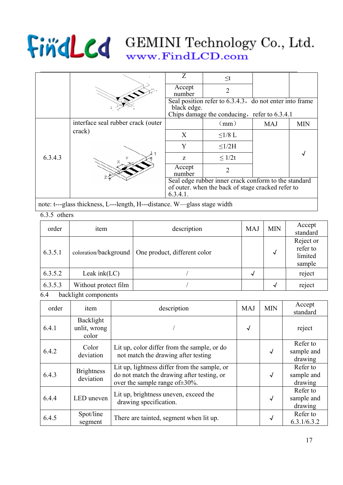|         |                                    |                                                                                                                      | $\leq t$                                                |            |            |  |
|---------|------------------------------------|----------------------------------------------------------------------------------------------------------------------|---------------------------------------------------------|------------|------------|--|
|         |                                    | Accept<br>number                                                                                                     | $\mathcal{D}_{\mathcal{L}}$                             |            |            |  |
|         |                                    | black edge.                                                                                                          | Seal position refer to 6.3.4.3, do not enter into frame |            |            |  |
|         |                                    |                                                                                                                      | Chips damage the conducing, refer to $6.3.4.1$          |            |            |  |
|         | interface seal rubber crack (outer |                                                                                                                      | (mm)                                                    | <b>MAJ</b> | <b>MIN</b> |  |
|         | crack)                             | X                                                                                                                    | $\leq1/8$ L                                             |            |            |  |
|         |                                    | Y                                                                                                                    | $\leq1/2H$                                              |            |            |  |
| 6.3.4.3 |                                    | Z                                                                                                                    | $\leq 1/2t$                                             |            |            |  |
|         |                                    | Accept<br>number                                                                                                     |                                                         |            |            |  |
|         |                                    | Seal edge rubber inner crack conform to the standard<br>of outer, when the back of stage cracked refer to<br>6.3.4.1 |                                                         |            |            |  |

note: t---glass thickness, L---length, H---distance. W—glass stage width

### 6.3.5 others

| order   | item                  | description                  | <b>MAJ</b> | <b>MIN</b> | Accept<br>standard                         |
|---------|-----------------------|------------------------------|------------|------------|--------------------------------------------|
| 6.3.5.1 | coloration/background | One product, different color |            | √          | Reject or<br>refer to<br>limited<br>sample |
| 6.3.5.2 | Leak in $k(LC)$       |                              | √          |            | reject                                     |
| 6.3.5.3 | Without protect film  |                              |            | √          | reject                                     |

6.4 backlight components

| order | item                               | description                                                                                                                       | <b>MAJ</b> | <b>MIN</b> | Accept<br>standard                |
|-------|------------------------------------|-----------------------------------------------------------------------------------------------------------------------------------|------------|------------|-----------------------------------|
| 6.4.1 | Backlight<br>unlit, wrong<br>color |                                                                                                                                   | √          |            | reject                            |
| 6.4.2 | Color<br>deviation                 | Lit up, color differ from the sample, or do<br>not match the drawing after testing                                                |            | $\sqrt{ }$ | Refer to<br>sample and<br>drawing |
| 6.4.3 | <b>Brightness</b><br>deviation     | Lit up, lightness differ from the sample, or<br>do not match the drawing after testing, or<br>over the sample range of $\pm$ 30%. |            | $\sqrt{ }$ | Refer to<br>sample and<br>drawing |
| 6.4.4 | LED uneven                         | Lit up, brightness uneven, exceed the<br>drawing specification.                                                                   |            | $\sqrt{ }$ | Refer to<br>sample and<br>drawing |
| 6.4.5 | Spot/line<br>segment               | There are tainted, segment when lit up.                                                                                           |            | √          | Refer to<br>6.3.1/6.3.2           |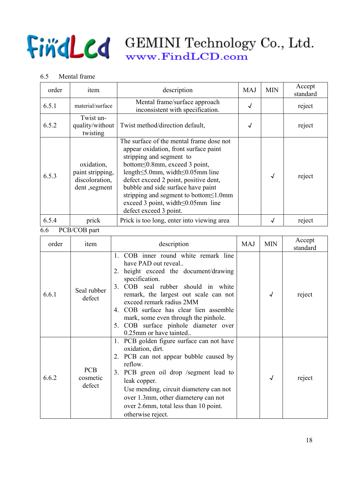### 6.5 Mental frame

| order | item                                                              | description                                                                                                                                                                                                                                                                                                                                                                                              | <b>MAJ</b> | <b>MIN</b> | Accept<br>standard |
|-------|-------------------------------------------------------------------|----------------------------------------------------------------------------------------------------------------------------------------------------------------------------------------------------------------------------------------------------------------------------------------------------------------------------------------------------------------------------------------------------------|------------|------------|--------------------|
| 6.5.1 | material/surface                                                  | Mental frame/surface approach<br>inconsistent with specification.                                                                                                                                                                                                                                                                                                                                        | √          |            | reject             |
| 6.5.2 | Twist un-<br>quality/without<br>twisting                          | Twist method/direction default,                                                                                                                                                                                                                                                                                                                                                                          | √          |            | reject             |
| 6.5.3 | oxidation,<br>paint stripping,<br>discoloration,<br>dent, segment | The surface of the mental frame dose not<br>appear oxidation, front surface paint<br>stripping and segment to<br>bottom  sol.8mm, exceed 3 point,<br>length $\leq$ 5.0mm, width $\leq$ 0.05mm line<br>defect exceed 2 point, positive dent,<br>bubble and side surface have paint<br>stripping and segment to bottom $\leq$ 1.0mm<br>exceed 3 point, width $\leq 0.05$ mm line<br>defect exceed 3 point. |            | √          | reject             |
| 6.5.4 | prick                                                             | Prick is too long, enter into viewing area                                                                                                                                                                                                                                                                                                                                                               |            | √          | reject             |

6.6 PCB/COB part

| order | item                             | description                                                                                                                                                                                                                                                                                                                                                                                                       | <b>MAJ</b> | <b>MIN</b> | Accept<br>standard |
|-------|----------------------------------|-------------------------------------------------------------------------------------------------------------------------------------------------------------------------------------------------------------------------------------------------------------------------------------------------------------------------------------------------------------------------------------------------------------------|------------|------------|--------------------|
| 6.6.1 | Seal rubber<br>defect            | COB inner round white remark line<br>$\mathbf{1}$<br>have PAD out reveal<br>2. height exceed the document/drawing<br>specification.<br>COB seal rubber should in white<br>3 <sub>1</sub><br>remark, the largest out scale can not<br>exceed remark radius 2MM<br>4. COB surface has clear lien assemble<br>mark, some even through the pinhole.<br>5. COB surface pinhole diameter over<br>0.25mm or have tainted |            |            | reject             |
| 6.6.2 | <b>PCB</b><br>cosmetic<br>defect | PCB golden figure surface can not have<br>1.<br>oxidation, dirt.<br>2. PCB can not appear bubble caused by<br>reflow<br>3. PCB green oil drop /segment lead to<br>leak copper.<br>Use mending, circuit diameter $\psi$ can not<br>over 1.3mm, other diameter $\psi$ can not<br>over 2.6mm, total less than 10 point.<br>otherwise reject.                                                                         |            | $\sqrt{ }$ | reject             |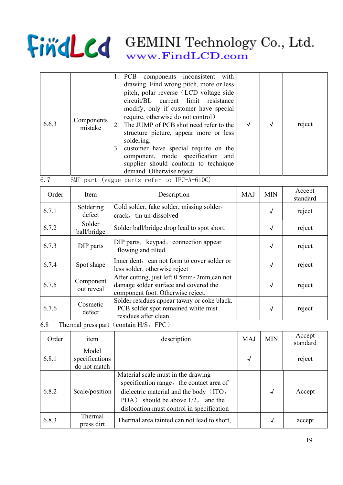|       |                       | 1. PCB components inconsistent with                                                                                                                                                                                                                                                                                                                                                                                                  |  |        |
|-------|-----------------------|--------------------------------------------------------------------------------------------------------------------------------------------------------------------------------------------------------------------------------------------------------------------------------------------------------------------------------------------------------------------------------------------------------------------------------------|--|--------|
| 6.6.3 | Components<br>mistake | drawing. Find wrong pitch, more or less<br>pitch, polar reverse (LCD voltage side<br>circuit/BL current limit resistance<br>modify, only if customer have special<br>require, otherwise do not control)<br>2. The JUMP of PCB shot need refer to the<br>structure picture, appear more or less<br>soldering.<br>3. customer have special require on the<br>component, mode specification and<br>supplier should conform to technique |  | reject |
|       |                       | demand. Otherwise reject.                                                                                                                                                                                                                                                                                                                                                                                                            |  |        |

| 6.7 |  |  |  |  |  | SMT part (vague parts refer to IPC-A-610C) |
|-----|--|--|--|--|--|--------------------------------------------|
|-----|--|--|--|--|--|--------------------------------------------|

| Order                  | Item                    | Description                                                                                                                                             | <b>MAJ</b> | <b>MIN</b> | Accept<br>standard |
|------------------------|-------------------------|---------------------------------------------------------------------------------------------------------------------------------------------------------|------------|------------|--------------------|
| 6.7.1                  | Soldering<br>defect     | Cold solder, fake solder, missing solder,<br>crack, tin un-dissolved                                                                                    |            | $\sqrt{ }$ | reject             |
| 6.7.2                  | Solder<br>ball/bridge   | Solder ball/bridge drop lead to spot short.                                                                                                             |            | $\sqrt{ }$ | reject             |
| 6.7.3                  | DIP parts               | DIP parts, keypad, connection appear<br>flowing and tilted.                                                                                             |            | $\sqrt{ }$ | reject             |
| 6.7.4                  | Spot shape              | Inner dent, can not form to cover solder or<br>less solder, otherwise reject                                                                            |            | √          | reject             |
| 6.7.5                  | Component<br>out reveal | After cutting, just left 0.5mm~2mm, can not<br>damage solder surface and covered the<br>component foot. Otherwise reject.                               |            | $\sqrt{ }$ | reject             |
| 6.7.6<br>$\sim$ $\sim$ | Cosmetic<br>defect      | Solder residues appear tawny or coke black.<br>PCB solder spot remained white mist<br>residues after clean.<br>$T1 \qquad 1 \qquad 1 \qquad 1 \qquad 1$ |            | $\sqrt{ }$ | reject             |

## 6.8 Thermal press part (contain H/S, FPC)

| Order | item                                    | description                                                                                                                                                                                                   | <b>MAJ</b> | <b>MIN</b>   | Accept<br>standard |
|-------|-----------------------------------------|---------------------------------------------------------------------------------------------------------------------------------------------------------------------------------------------------------------|------------|--------------|--------------------|
| 6.8.1 | Model<br>specifications<br>do not match |                                                                                                                                                                                                               | √          |              | reject             |
| 6.8.2 | Scale/position                          | Material scale must in the drawing<br>specification range, the contact area of<br>dielectric material and the body (ITO,<br>PDA) should be above $1/2$ , and the<br>dislocation must control in specification |            | $\checkmark$ | Accept             |
| 6.8.3 | Thermal<br>press dirt                   | Thermal area tainted can not lead to short,                                                                                                                                                                   |            | √            | accept             |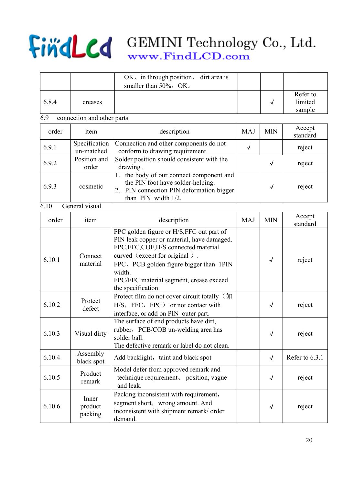|        |                             | OK, in through position,<br>dirt area is<br>smaller than 50%, OK.                                                                                                                                                                                                                    |            |              |                               |
|--------|-----------------------------|--------------------------------------------------------------------------------------------------------------------------------------------------------------------------------------------------------------------------------------------------------------------------------------|------------|--------------|-------------------------------|
| 6.8.4  | creases                     |                                                                                                                                                                                                                                                                                      |            | $\checkmark$ | Refer to<br>limited<br>sample |
| 6.9    | connection and other parts  |                                                                                                                                                                                                                                                                                      |            |              |                               |
| order  | item                        | description                                                                                                                                                                                                                                                                          | <b>MAJ</b> | <b>MIN</b>   | Accept<br>standard            |
| 6.9.1  | Specification<br>un-matched | Connection and other components do not<br>conform to drawing requirement                                                                                                                                                                                                             | √          |              | reject                        |
| 6.9.2  | Position and<br>order       | Solder position should consistent with the<br>drawing.                                                                                                                                                                                                                               |            | $\sqrt{ }$   | reject                        |
| 6.9.3  | cosmetic                    | the body of our connect component and<br>$1_{-}$<br>the PIN foot have solder-helping.<br>2. PIN connection PIN deformation bigger<br>than PIN width 1/2.                                                                                                                             |            | $\sqrt{ }$   | reject                        |
| 6.10   | General visual              |                                                                                                                                                                                                                                                                                      |            |              |                               |
| order  | item                        | description                                                                                                                                                                                                                                                                          | <b>MAJ</b> | <b>MIN</b>   | Accept<br>standard            |
| 6.10.1 | Connect<br>material         | FPC golden figure or H/S, FFC out part of<br>PIN leak copper or material, have damaged.<br>FPC,FFC,COF,H/S connected material<br>curved (except for original).<br>FPC, PCB golden figure bigger than 1PIN<br>width.<br>FPC/FFC material segment, crease exceed<br>the specification. |            | $\sqrt{ }$   | reject                        |
| 6.10.2 | Protect<br>defect           | Protect film do not cover circuit totally (如<br>H/S, FFC, FPC) or not contact with<br>interface, or add on PIN outer part.                                                                                                                                                           |            | $\checkmark$ | reject                        |
| 6.10.3 | Visual dirty                | The surface of end products have dirt,<br>rubber, PCB/COB un-welding area has<br>solder ball.<br>The defective remark or label do not clean.                                                                                                                                         |            | $\sqrt{ }$   | reject                        |
| 6.10.4 | Assembly<br>black spot      | Add backlight, taint and black spot                                                                                                                                                                                                                                                  |            | $\sqrt{ }$   | Refer to 6.3.1                |
| 6.10.5 | Product<br>remark           | Model defer from approved remark and<br>technique requirement, position, vague<br>and leak.                                                                                                                                                                                          |            | $\sqrt{ }$   | reject                        |
| 6.10.6 | Inner<br>product<br>packing | Packing inconsistent with requirement,<br>segment short, wrong amount. And<br>inconsistent with shipment remark/ order<br>demand.                                                                                                                                                    |            | $\sqrt{ }$   | reject                        |